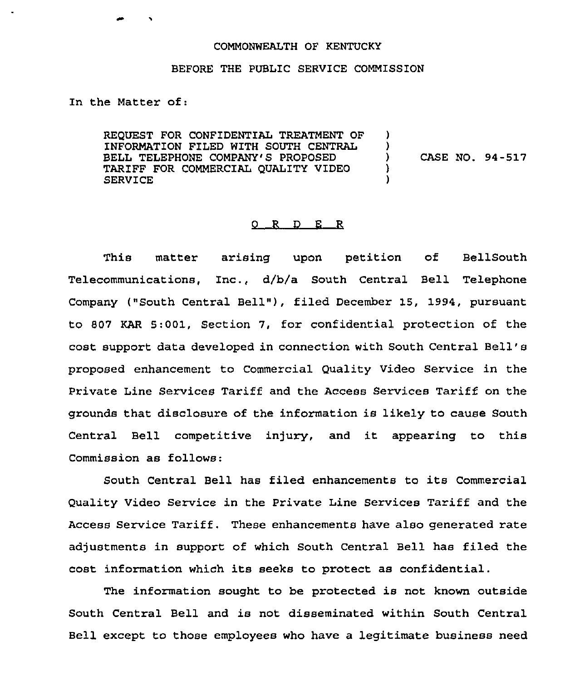## COMMONWEALTH OF KENTUCKY

## BEFORE THE PUBLIC SERVICE COMMISSION

In the Matter of:

REQUEST FOR CONFIDENTIAL TREATMENT OF INFORMATION FILED WITH SOUTH CENTRAL BELL TELEPHONE COMPANY'S PROPOSED TARIFF FOR COMMERCIAL QUALITY VIDEO SERVICE ) )<br>) ) CASE NO. 94-517 ) )

## 0 R D E R

This matter arising upon petition of BellSouth Telecommunications, Inc., d/b/a South Central Bell Telephone Company ("South Central Bell"), filed December 15, 1994, pursuant to 807 KAR 5:001, Section 7, for confidential protection of the cost support data developed in connection with South Central Bell' proposed enhancement to Commercial Quality Video Service in the Private Line Services Tariff and the Access Services Tariff on the grounds that disclosure of the information is likely to cause South Central Bell competitive injury, and it appearing to this Commission as follows:

South Central Bell has filed enhancements to its Commercial Quality Video Service in the Private Line Services Tariff and the Access Service Tariff. These enhancements have also generated rate adjustments in support of which South Central Bell has filed the cost information which its seeks to protect as confidential.

The information sought to be protected is not known outside South Central Bell and is not disseminated within South Central Bell except to those employees who have a legitimate business need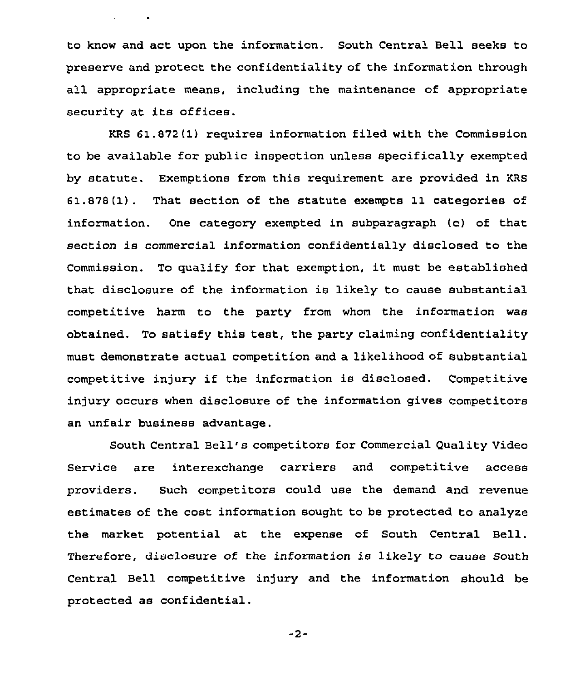to know and act upon the information. South Central Bell seeks to preserve and protect the confidentiality of the information through all appropriate means, including the maintenance of appropriate security at its offices.

 $\mathbf{v} = \mathbf{v} \times \mathbf{v}$  . In

KRS 61.872 (1) requires information filed with the Commission to be available for public inspection unless specifically exempted by statute. Exemptions from this requirement are provided in KRS 61.878(1). That section of the statute exempts 11 categories of information. One category exempted in subparagraph (c) of that section is commercial information confidentially disclosed to the Commission. To qualify for that exemption, it must be established that disclosure of the information is likely to cause substantial competitive harm to the party from whom the information was obtained. To satisfy this test, the party claiming confidentiality must demonstrate actual competition and a likelihood of substantial competitive injury if the information is disclosed. Competitive injury occurs when disclosure of the information gives competitors an unfair business advantage.

South Central Bell's competitors for Commercial Quality Video Service are interexchange carriers and competitive access providers. Such competitors could use the demand and revenue estimates of the cost information sought to be protected to analyze the market potential at the expense of South Central Bell. Therefore, disclosure of the information is likely to cause South Central Bell competitive injury and the information should be protected as confidential.

 $-2-$